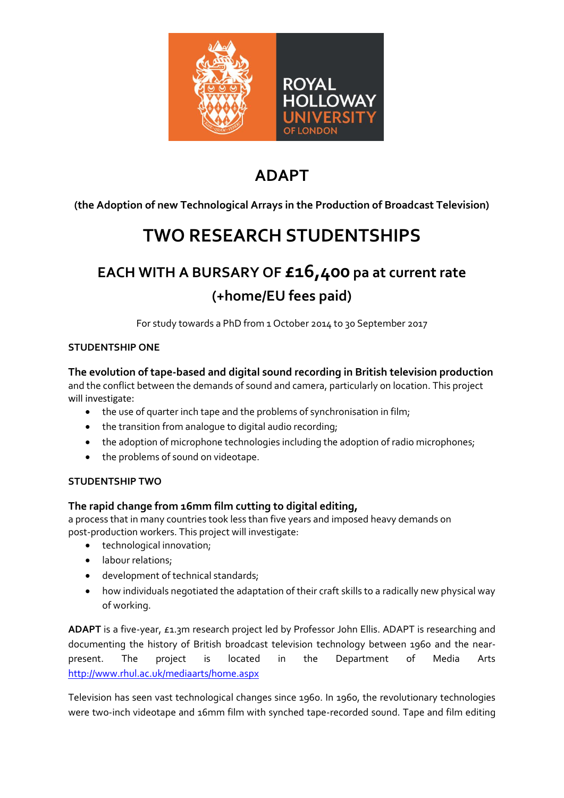

# **ADAPT**

## **(the Adoption of new Technological Arrays in the Production of Broadcast Television)**

# **TWO RESEARCH STUDENTSHIPS**

# **EACH WITH A BURSARY OF £16,400 pa at current rate (+home/EU fees paid)**

For study towards a PhD from 1 October 2014 to 30 September 2017

#### **STUDENTSHIP ONE**

#### **The evolution of tape-based and digital sound recording in British television production**

and the conflict between the demands of sound and camera, particularly on location. This project will investigate:

- the use of quarter inch tape and the problems of synchronisation in film;
- the transition from analogue to digital audio recording;
- the adoption of microphone technologies including the adoption of radio microphones;
- the problems of sound on videotape.

#### **STUDENTSHIP TWO**

### **The rapid change from 16mm film cutting to digital editing,**

a process that in many countries took less than five years and imposed heavy demands on post-production workers. This project will investigate:

- technological innovation;
- labour relations;
- development of technical standards;
- how individuals negotiated the adaptation of their craft skills to a radically new physical way of working.

**ADAPT** is a five-year, £1.3m research project led by Professor John Ellis. ADAPT is researching and documenting the history of British broadcast television technology between 1960 and the nearpresent. The project is located in the Department of Media Arts <http://www.rhul.ac.uk/mediaarts/home.aspx>

Television has seen vast technological changes since 1960. In 1960, the revolutionary technologies were two-inch videotape and 16mm film with synched tape-recorded sound. Tape and film editing